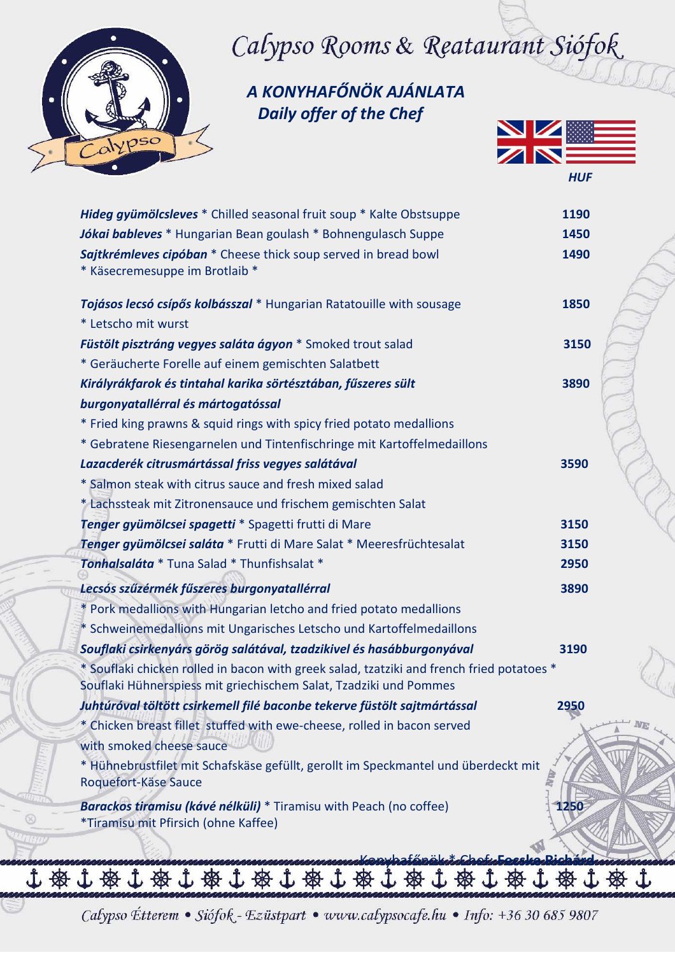

# Calypso Rooms & Reataurant Siófok

 *A KONYHAFŐNÖK AJÁNLATA Daily offer of the Chef*



| Hideg gyümölcsleves * Chilled seasonal fruit soup * Kalte Obstsuppe<br>Jókai bableves * Hungarian Bean goulash * Bohnengulasch Suppe<br>Sajtkrémleves cipóban * Cheese thick soup served in bread bowl<br>* Käsecremesuppe im Brotlaib * | 1190<br>1450<br>1490 |  |
|------------------------------------------------------------------------------------------------------------------------------------------------------------------------------------------------------------------------------------------|----------------------|--|
| Tojásos lecsó csípős kolbásszal * Hungarian Ratatouille with sousage                                                                                                                                                                     | 1850                 |  |
| * Letscho mit wurst                                                                                                                                                                                                                      |                      |  |
| Füstölt pisztráng vegyes saláta ágyon * Smoked trout salad                                                                                                                                                                               | 3150                 |  |
| * Geräucherte Forelle auf einem gemischten Salatbett                                                                                                                                                                                     |                      |  |
| Királyrákfarok és tintahal karika sörtésztában, fűszeres sült                                                                                                                                                                            | 3890                 |  |
| burgonyatallérral és mártogatóssal                                                                                                                                                                                                       |                      |  |
| * Fried king prawns & squid rings with spicy fried potato medallions                                                                                                                                                                     |                      |  |
| * Gebratene Riesengarnelen und Tintenfischringe mit Kartoffelmedaillons                                                                                                                                                                  |                      |  |
| Lazacderék citrusmártással friss vegyes salátával                                                                                                                                                                                        | 3590                 |  |
| * Salmon steak with citrus sauce and fresh mixed salad                                                                                                                                                                                   |                      |  |
| * Lachssteak mit Zitronensauce und frischem gemischten Salat                                                                                                                                                                             |                      |  |
| Tenger gyümölcsei spagetti * Spagetti frutti di Mare                                                                                                                                                                                     | 3150                 |  |
| Tenger gyümölcsei saláta * Frutti di Mare Salat * Meeresfrüchtesalat                                                                                                                                                                     | 3150                 |  |
| Tonhalsaláta * Tuna Salad * Thunfishsalat *                                                                                                                                                                                              | 2950                 |  |
| Lecsós szűzérmék fűszeres burgonyatallérral                                                                                                                                                                                              | 3890                 |  |
| * Pork medallions with Hungarian letcho and fried potato medallions                                                                                                                                                                      |                      |  |
| * Schweinemedallions mit Ungarisches Letscho und Kartoffelmedaillons                                                                                                                                                                     |                      |  |
| Souflaki csirkenyárs görög salátával, tzadzikivel és hasábburgonyával                                                                                                                                                                    | 3190                 |  |
| * Souflaki chicken rolled in bacon with greek salad, tzatziki and french fried potatoes *<br>Souflaki Hühnerspiess mit griechischem Salat, Tzadziki und Pommes                                                                           |                      |  |
| Juhtúróval töltött csirkemell filé baconbe tekerve füstölt sajtmártással                                                                                                                                                                 | 2950                 |  |
| * Chicken breast fillet stuffed with ewe-cheese, rolled in bacon served<br>with smoked cheese sauce                                                                                                                                      |                      |  |
| * Hühnebrustfilet mit Schafskäse gefüllt, gerollt im Speckmantel und überdeckt mit<br>Roquefort-Käse Sauce                                                                                                                               |                      |  |
| Barackos tiramisu (kávé nélküli) * Tiramisu with Peach (no coffee)<br>*Tiramisu mit Pfirsich (ohne Kaffee)                                                                                                                               | 1250                 |  |
| $\overline{AB}$ , $\overline{I}$ , $\overline{AB}$ , $\overline{I}$ ,<br>$-A$                                                                                                                                                            |                      |  |

Calypso Étterem · Siófok - Ezüstpart · www.calypsocafe.hu · Info: +36 30 685 9807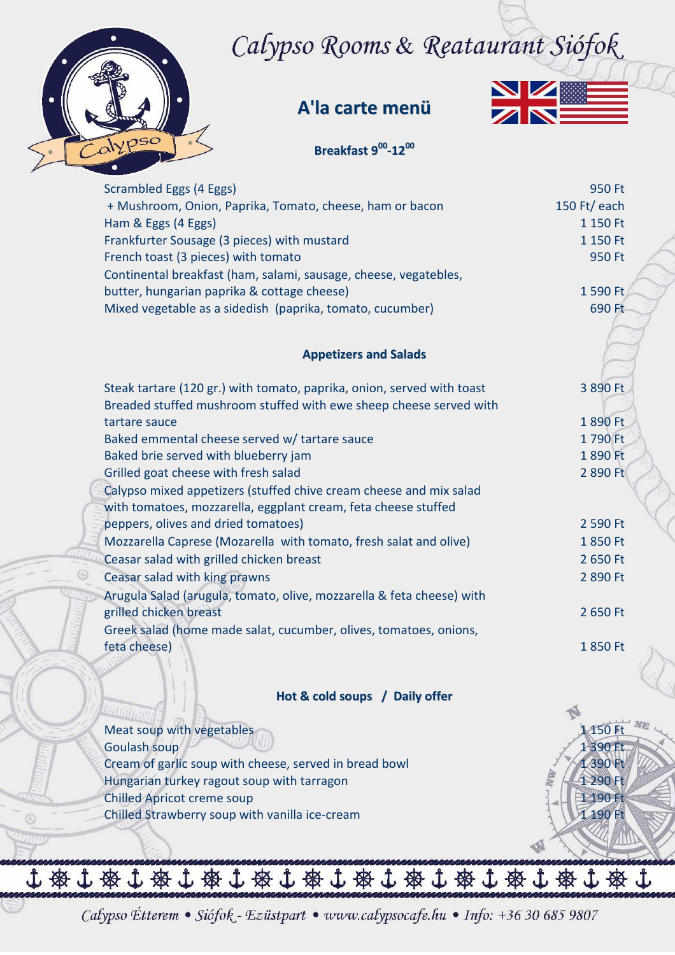## Calypso Rooms & Reataurant Siófok



 $\circledcirc$ 

#### **A'la carte menü**



#### **Breakfast 9 00 -12 00**

| Scrambled Eggs (4 Eggs)                                                | 950 Ft             |
|------------------------------------------------------------------------|--------------------|
| + Mushroom, Onion, Paprika, Tomato, cheese, ham or bacon               | 150 Ft/ $ear$ each |
| Ham & Eggs (4 Eggs)                                                    | 1 150 Ft           |
| Frankfurter Sousage (3 pieces) with mustard                            | 1 150 Ft           |
| French toast (3 pieces) with tomato                                    | 950 Ft             |
| Continental breakfast (ham, salami, sausage, cheese, vegatebles,       |                    |
| butter, hungarian paprika & cottage cheese)                            | 1 590 Ft           |
| Mixed vegetable as a sidedish (paprika, tomato, cucumber)              | 690 Ft             |
|                                                                        |                    |
| <b>Appetizers and Salads</b>                                           |                    |
|                                                                        |                    |
| Steak tartare (120 gr.) with tomato, paprika, onion, served with toast | 3 890 Ft           |
| Breaded stuffed mushroom stuffed with ewe sheep cheese served with     |                    |
| tartare sauce                                                          | 1890 Ft            |
| Baked emmental cheese served w/ tartare sauce                          | 1790 Ft            |
| Baked brie served with blueberry jam                                   | 1890 Ft            |
| Grilled goat cheese with fresh salad                                   | 2 890 Ft           |
| Calypso mixed appetizers (stuffed chive cream cheese and mix salad     |                    |
| with tomatoes, mozzarella, eggplant cream, feta cheese stuffed         |                    |
| peppers, olives and dried tomatoes)                                    | 2 590 Ft           |
| Mozzarella Caprese (Mozarella with tomato, fresh salat and olive)      | 1850 Ft            |
| Ceasar salad with grilled chicken breast                               | 2 650 Ft           |
| Ceasar salad with king prawns                                          | 2 890 Ft           |
| Arugula Salad (arugula, tomato, olive, mozzarella & feta cheese) with  |                    |
| grilled chicken breast                                                 | 2 650 Ft           |
| Greek salad (home made salat, cucumber, olives, tomatoes, onions,      |                    |
| feta cheese)                                                           | 1850 Ft            |
|                                                                        |                    |
| Hot & cold soups / Daily offer                                         |                    |
| <b>Ballitt</b>                                                         |                    |
| Meat soup with vegetables                                              | 1 150 Ft           |
| Goulash soup                                                           | 1 390 Ft           |
| Cream of garlic soup with cheese, served in bread bowl                 | 1390 Ft            |
| Hungarian turkey ragout soup with tarragon                             | 1 290 Ft           |
| <b>Chilled Apricot creme soup</b>                                      | 1 190 Ft           |
| Chilled Strawberry soup with vanilla ice-cream                         | 190 Ft             |
|                                                                        |                    |
|                                                                        |                    |

Calypso Étterem · Siófok - Ezüstpart · www.calypsocafe.hu · Info: +36 30 685 9807

小资小资小资小资小资小资小资产资本办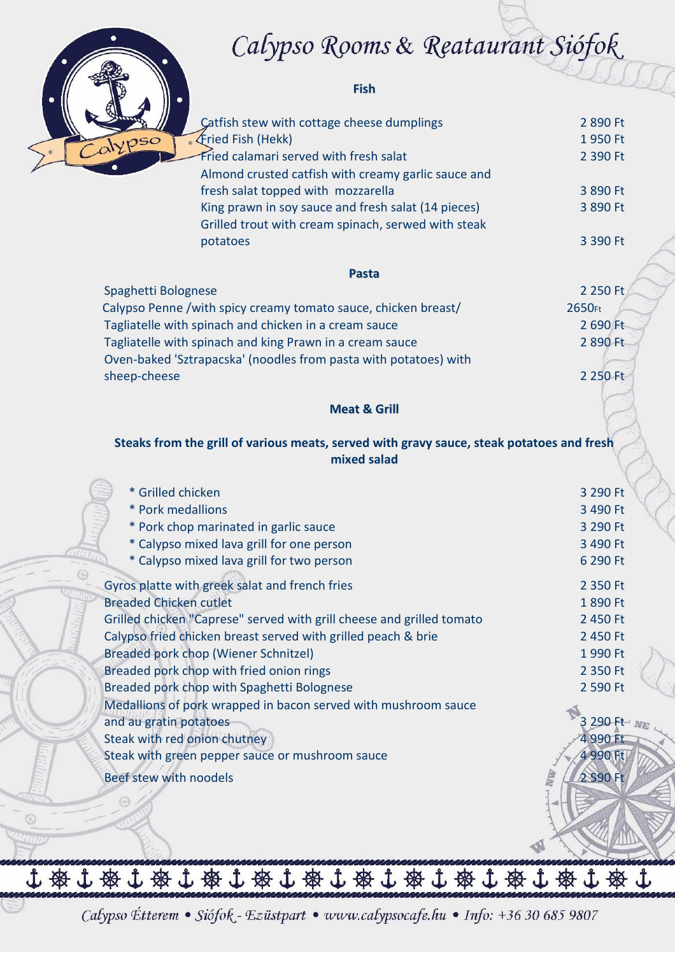### Calypso Rooms & Reataurant Siófok



 $\circledcirc$ 

#### **Fish**

| Catfish stew with cottage cheese dumplings                                                | 2 890 Ft    |
|-------------------------------------------------------------------------------------------|-------------|
| Fried Fish (Hekk)<br>$\overline{\rho}$ so                                                 | 1950 Ft     |
| Fried calamari served with fresh salat                                                    | 2 390 Ft    |
| Almond crusted catfish with creamy garlic sauce and                                       |             |
| fresh salat topped with mozzarella                                                        | 3 890 Ft    |
| King prawn in soy sauce and fresh salat (14 pieces)                                       | 3 890 Ft    |
| Grilled trout with cream spinach, serwed with steak                                       |             |
| potatoes                                                                                  | 3 390 Ft    |
| <b>Pasta</b>                                                                              |             |
| Spaghetti Bolognese                                                                       | 2 250 Ft    |
|                                                                                           | 2650Ft      |
| Calypso Penne /with spicy creamy tomato sauce, chicken breast/                            | 2 690 Ft    |
| Tagliatelle with spinach and chicken in a cream sauce                                     |             |
| Tagliatelle with spinach and king Prawn in a cream sauce                                  | 2 890 Ft    |
| Oven-baked 'Sztrapacska' (noodles from pasta with potatoes) with                          |             |
| sheep-cheese                                                                              | 2 250 Ft    |
| <b>Meat &amp; Grill</b>                                                                   |             |
|                                                                                           |             |
| Steaks from the grill of various meats, served with gravy sauce, steak potatoes and fresh |             |
| mixed salad                                                                               |             |
|                                                                                           |             |
| * Grilled chicken                                                                         | 3 290 Ft    |
| * Pork medallions                                                                         | 3 490 Ft    |
| * Pork chop marinated in garlic sauce                                                     | 3 290 Ft    |
| * Calypso mixed lava grill for one person                                                 | 3 490 Ft    |
| * Calypso mixed lava grill for two person                                                 | 6 290 Ft    |
|                                                                                           |             |
| Gyros platte with greek salat and french fries                                            | 2 350 Ft    |
| <b>Breaded Chicken cutlet</b>                                                             | 1890 Ft     |
| Grilled chicken "Caprese" served with grill cheese and grilled tomato                     | 2 450 Ft    |
| Calypso fried chicken breast served with grilled peach & brie                             | 2 450 Ft    |
| Breaded pork chop (Wiener Schnitzel)                                                      | 1 990 Ft    |
| Breaded pork chop with fried onion rings                                                  | 2 350 Ft    |
| Breaded pork chop with Spaghetti Bolognese                                                | 2 590 Ft    |
| Medallions of pork wrapped in bacon served with mushroom sauce                            |             |
| and au gratin potatoes                                                                    | 3 290 Ft NE |
| Steak with red onion chutney                                                              | 4 990 Ft    |
| Steak with green pepper sauce or mushroom sauce                                           | 4 990 Ft    |
| Beef stew with noodels                                                                    | 2 590 Ft    |
|                                                                                           |             |
|                                                                                           |             |
|                                                                                           |             |
|                                                                                           |             |
|                                                                                           |             |

Calypso Étterem · Siófok - Ezüstpart · www.calypsocafe.hu · Info: +36 30 685 9807

小安小安小安小安小安小安小安小安小安小安小安小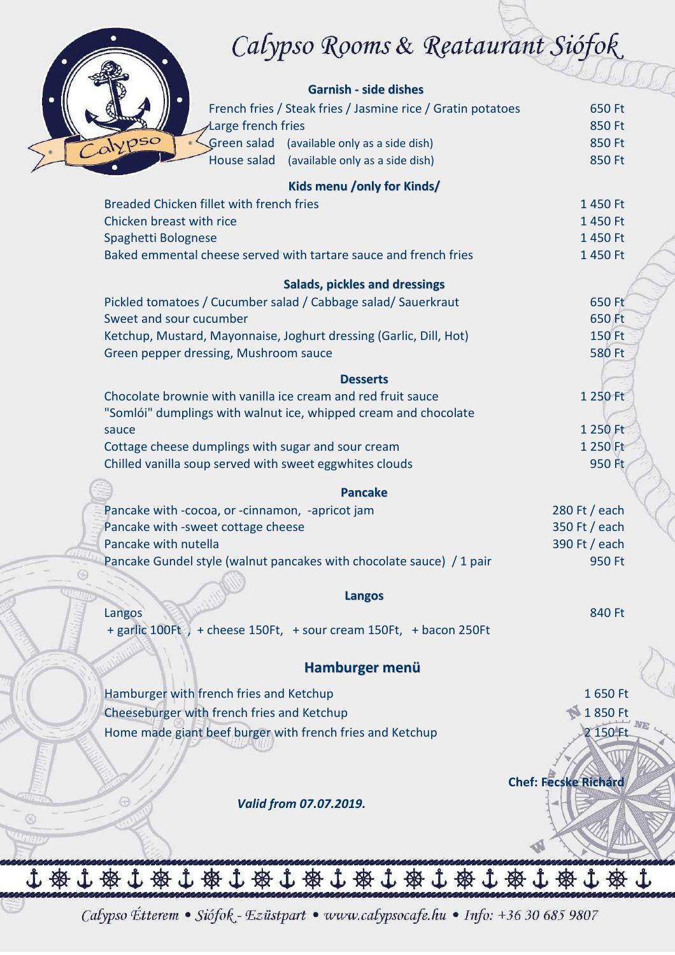# Calypso Rooms & Reataurant Siófok

| ৴┸                                                                   |                             |
|----------------------------------------------------------------------|-----------------------------|
|                                                                      |                             |
| <b>Garnish - side dishes</b>                                         |                             |
| French fries / Steak fries / Jasmine rice / Gratin potatoes          | 650 Ft                      |
| Large french fries                                                   | 850 Ft                      |
| Calypso<br>Green salad<br>(available only as a side dish)            | 850 Ft                      |
| House salad<br>(available only as a side dish)                       | 850 Ft                      |
| Kids menu /only for Kinds/                                           |                             |
| Breaded Chicken fillet with french fries                             | 1450 Ft                     |
| Chicken breast with rice                                             | 1450 Ft                     |
| Spaghetti Bolognese                                                  | 1450 Ft                     |
| Baked emmental cheese served with tartare sauce and french fries     | 1 450 Ft                    |
| <b>Salads, pickles and dressings</b>                                 |                             |
| Pickled tomatoes / Cucumber salad / Cabbage salad/ Sauerkraut        | 650 Ft                      |
| Sweet and sour cucumber                                              | 650 Ft                      |
| Ketchup, Mustard, Mayonnaise, Joghurt dressing (Garlic, Dill, Hot)   | 150 Ft                      |
| Green pepper dressing, Mushroom sauce                                | <b>580 Ft</b>               |
| <b>Desserts</b>                                                      |                             |
| Chocolate brownie with vanilla ice cream and red fruit sauce         | 1 250 Ft                    |
| "Somlói" dumplings with walnut ice, whipped cream and chocolate      |                             |
| sauce                                                                | 1 250 Ft                    |
| Cottage cheese dumplings with sugar and sour cream                   | 1 250 Ft                    |
| Chilled vanilla soup served with sweet eggwhites clouds              | 950 Ft                      |
| <b>Pancake</b>                                                       |                             |
| Pancake with -cocoa, or -cinnamon, -apricot jam                      | 280 Ft / each               |
| Pancake with -sweet cottage cheese                                   | 350 Ft / each               |
| Pancake with nutella                                                 | 390 Ft / each               |
| Pancake Gundel style (walnut pancakes with chocolate sauce) / 1 pair | 950 Ft                      |
|                                                                      |                             |
| <b>Langos</b>                                                        |                             |
| Langos                                                               | 840 Ft                      |
| + garlic 100Ft ) + cheese 150Ft, + sour cream 150Ft, + bacon 250Ft   |                             |
|                                                                      |                             |
| Hamburger menü                                                       |                             |
| Hamburger with french fries and Ketchup                              | 1650 Ft                     |
| Cheeseburger with french fries and Ketchup                           | 1850 Ft                     |
| Home made giant beef burger with french fries and Ketchup            | 150 F                       |
|                                                                      |                             |
|                                                                      | <b>Chef: Fecske Richárd</b> |
|                                                                      |                             |
| Valid from 07.07.2019.                                               |                             |
|                                                                      |                             |
|                                                                      |                             |
| 小路小路小路小路小路小路小路的小路小路小站                                                |                             |
|                                                                      |                             |

Calypso Étterem · Siófok - Ezüstpart · www.calypsocafe.hu · Info: +36 30 685 9807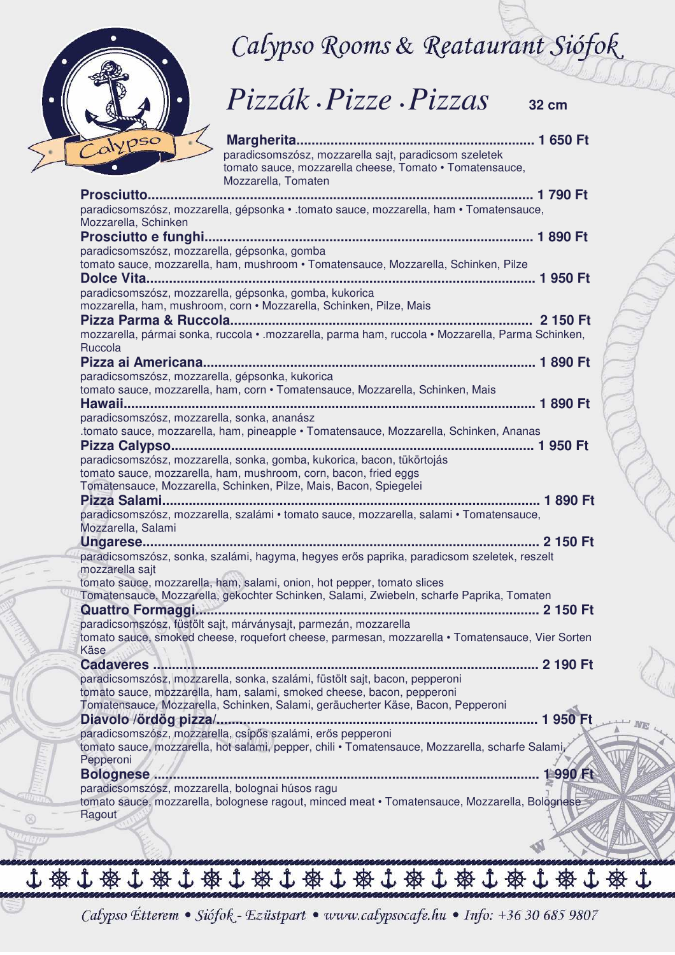

 $\circledR$ 

Calypso Rooms & Reataurant Siófok



**Margherita............................................................... 1 650 Ft**  paradicsomszósz, mozzarella sajt, paradicsom szeletek tomato sauce, mozzarella cheese, Tomato • Tomatensauce, Mozzarella, Tomaten

| paradicsomszósz, mozzarella, gépsonka · .tomato sauce, mozzarella, ham · Tomatensauce,<br>Mozzarella, Schinken                                                      |
|---------------------------------------------------------------------------------------------------------------------------------------------------------------------|
| Prosciutto e funghi                                                                                                                                                 |
| paradicsomszósz, mozzarella, gépsonka, gomba                                                                                                                        |
| tomato sauce, mozzarella, ham, mushroom · Tomatensauce, Mozzarella, Schinken, Pilze                                                                                 |
|                                                                                                                                                                     |
| paradicsomszósz, mozzarella, gépsonka, gomba, kukorica                                                                                                              |
| mozzarella, ham, mushroom, corn · Mozzarella, Schinken, Pilze, Mais                                                                                                 |
|                                                                                                                                                                     |
| mozzarella, pármai sonka, ruccola · .mozzarella, parma ham, ruccola · Mozzarella, Parma Schinken,<br>Ruccola                                                        |
|                                                                                                                                                                     |
| paradicsomszósz, mozzarella, gépsonka, kukorica                                                                                                                     |
| tomato sauce, mozzarella, ham, corn · Tomatensauce, Mozzarella, Schinken, Mais                                                                                      |
|                                                                                                                                                                     |
| paradicsomszósz, mozzarella, sonka, ananász                                                                                                                         |
| tomato sauce, mozzarella, ham, pineapple · Tomatensauce, Mozzarella, Schinken, Ananas                                                                               |
|                                                                                                                                                                     |
| paradicsomszósz, mozzarella, sonka, gomba, kukorica, bacon, tükörtojás                                                                                              |
| tomato sauce, mozzarella, ham, mushroom, corn, bacon, fried eggs                                                                                                    |
| Tomatensauce, Mozzarella, Schinken, Pilze, Mais, Bacon, Spiegelei                                                                                                   |
|                                                                                                                                                                     |
| paradicsomszósz, mozzarella, szalámi · tomato sauce, mozzarella, salami · Tomatensauce,                                                                             |
|                                                                                                                                                                     |
| Mozzarella, Salami                                                                                                                                                  |
|                                                                                                                                                                     |
| paradicsomszósz, sonka, szalámi, hagyma, hegyes erős paprika, paradicsom szeletek, reszelt                                                                          |
| mozzarella sajt                                                                                                                                                     |
| tomato sauce, mozzarella, ham, salami, onion, hot pepper, tomato slices                                                                                             |
| Tomatensauce, Mozzarella, gekochter Schinken, Salami, Zwiebeln, scharfe Paprika, Tomaten                                                                            |
|                                                                                                                                                                     |
| paradicsomszósz, füstölt sajt, márványsajt, parmezán, mozzarella<br>tomato sauce, smoked cheese, roquefort cheese, parmesan, mozzarella • Tomatensauce, Vier Sorten |
| Käse New York                                                                                                                                                       |
|                                                                                                                                                                     |
| paradicsomszósz, mozzarella, sonka, szalámi, füstölt sajt, bacon, pepperoni                                                                                         |
| tomato sauce, mozzarella, ham, salami, smoked cheese, bacon, pepperoni                                                                                              |
| Tomatensauce, Mozzarella, Schinken, Salami, geräucherter Käse, Bacon, Pepperoni                                                                                     |
| 1950 Ft<br>Diavolo /ördög pizza/.                                                                                                                                   |
| paradicsomszósz, mozzarella, csípős szalámi, erős pepperoni                                                                                                         |
| tomato sauce, mozzarella, hot salami, pepper, chili · Tomatensauce, Mozzarella, scharfe Salami,                                                                     |
| Pepperoni                                                                                                                                                           |
| 1990 Ft<br><b>Bolognese</b>                                                                                                                                         |
| paradicsomszósz, mozzarella, bolognai húsos ragu                                                                                                                    |
| tomato sauce, mozzarella, bolognese ragout, minced meat · Tomatensauce, Mozzarella, Bolognese<br>Ragout                                                             |
|                                                                                                                                                                     |
|                                                                                                                                                                     |

Calypso Étterem · Siófok - Ezüstpart · www.calypsocafe.hu · Info: +36 30 685 9807